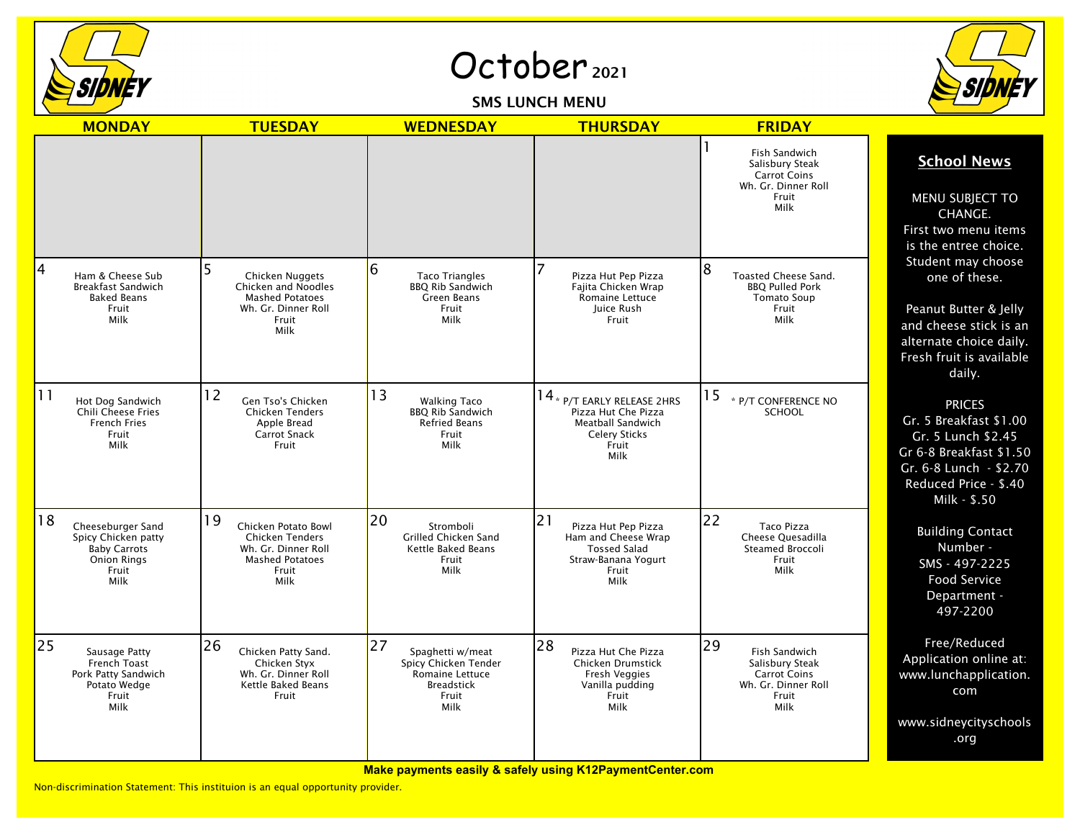

October<sub>2021</sub>

SMS LUNCH MENU



|    | <b>MONDAY</b>                                                                                          | <b>TUESDAY</b>                                                                                                        | <b>WEDNESDAY</b>                                                                                               | <b>THURSDAY</b>                                                                                                         | <b>FRIDAY</b>                                                                                         |                                                                                                                                                             |
|----|--------------------------------------------------------------------------------------------------------|-----------------------------------------------------------------------------------------------------------------------|----------------------------------------------------------------------------------------------------------------|-------------------------------------------------------------------------------------------------------------------------|-------------------------------------------------------------------------------------------------------|-------------------------------------------------------------------------------------------------------------------------------------------------------------|
|    |                                                                                                        |                                                                                                                       |                                                                                                                |                                                                                                                         | Fish Sandwich<br>Salisbury Steak<br><b>Carrot Coins</b><br>Wh. Gr. Dinner Roll<br>Fruit<br>Milk       | <b>School News</b><br>MENU SUBJECT TO<br>CHANGE.<br>First two menu items<br>is the entree choice.                                                           |
| 4  | Ham & Cheese Sub<br><b>Breakfast Sandwich</b><br><b>Baked Beans</b><br>Fruit<br>Milk                   | Chicken Nuggets<br>Chicken and Noodles<br><b>Mashed Potatoes</b><br>Wh. Gr. Dinner Roll<br>Fruit<br>Milk              | 6<br><b>Taco Triangles</b><br><b>BBQ Rib Sandwich</b><br>Green Beans<br>Fruit<br>Milk                          | 7<br>Pizza Hut Pep Pizza<br>Fajita Chicken Wrap<br>Romaine Lettuce<br>Juice Rush<br>Fruit                               | 8<br>Toasted Cheese Sand.<br><b>BBQ Pulled Pork</b><br><b>Tomato Soup</b><br>Fruit<br>Milk            | Student may choose<br>one of these.<br>Peanut Butter & Jelly<br>and cheese stick is an<br>alternate choice daily.<br>Fresh fruit is available<br>daily.     |
| 11 | Hot Dog Sandwich<br>Chili Cheese Fries<br><b>French Fries</b><br>Fruit<br>Milk                         | 12<br>Gen Tso's Chicken<br><b>Chicken Tenders</b><br>Apple Bread<br>Carrot Snack<br>Fruit                             | 13<br><b>Walking Taco</b><br><b>BBQ Rib Sandwich</b><br><b>Refried Beans</b><br>Fruit<br>Milk                  | 14 * P/T EARLY RELEASE 2HRS<br>Pizza Hut Che Pizza<br><b>Meatball Sandwich</b><br><b>Celery Sticks</b><br>Fruit<br>Milk | 15<br>* P/T CONFERENCE NO<br><b>SCHOOL</b>                                                            | <b>PRICES</b><br>Gr. 5 Breakfast \$1.00<br>Gr. 5 Lunch \$2.45<br>Gr 6-8 Breakfast \$1.50<br>Gr. 6-8 Lunch - \$2.70<br>Reduced Price - \$.40<br>Milk - \$.50 |
| 18 | Cheeseburger Sand<br>Spicy Chicken patty<br><b>Baby Carrots</b><br><b>Onion Rings</b><br>Fruit<br>Milk | 19<br>Chicken Potato Bowl<br><b>Chicken Tenders</b><br>Wh. Gr. Dinner Roll<br><b>Mashed Potatoes</b><br>Fruit<br>Milk | 20<br>Stromboli<br><b>Grilled Chicken Sand</b><br>Kettle Baked Beans<br>Fruit<br>Milk                          | 21<br>Pizza Hut Pep Pizza<br>Ham and Cheese Wrap<br><b>Tossed Salad</b><br>Straw-Banana Yogurt<br>Fruit<br>Milk         | 22<br><b>Taco Pizza</b><br>Cheese Ouesadilla<br>Steamed Broccoli<br>Fruit<br>Milk                     | <b>Building Contact</b><br>Number -<br>SMS - 497-2225<br>Food Service<br>Department -<br>497-2200                                                           |
| 25 | Sausage Patty<br>French Toast<br>Pork Patty Sandwich<br>Potato Wedge<br>Fruit<br>Milk                  | 26<br>Chicken Patty Sand.<br>Chicken Styx<br>Wh. Gr. Dinner Roll<br>Kettle Baked Beans<br>Fruit                       | 27<br>Spaghetti w/meat<br>Spicy Chicken Tender<br><b>Romaine Lettuce</b><br><b>Breadstick</b><br>Fruit<br>Milk | 28<br>Pizza Hut Che Pizza<br>Chicken Drumstick<br>Fresh Veggies<br>Vanilla pudding<br>Fruit<br>Milk                     | 29<br>Fish Sandwich<br>Salisbury Steak<br><b>Carrot Coins</b><br>Wh. Gr. Dinner Roll<br>Fruit<br>Milk | Free/Reduced<br>Application online at:<br>www.lunchapplication.<br>com<br>www.sidneycityschools<br>.org                                                     |

**Make payments easily & safely using K12PaymentCenter.com**

Non-discrimination Statement: This instituion is an equal opportunity provider.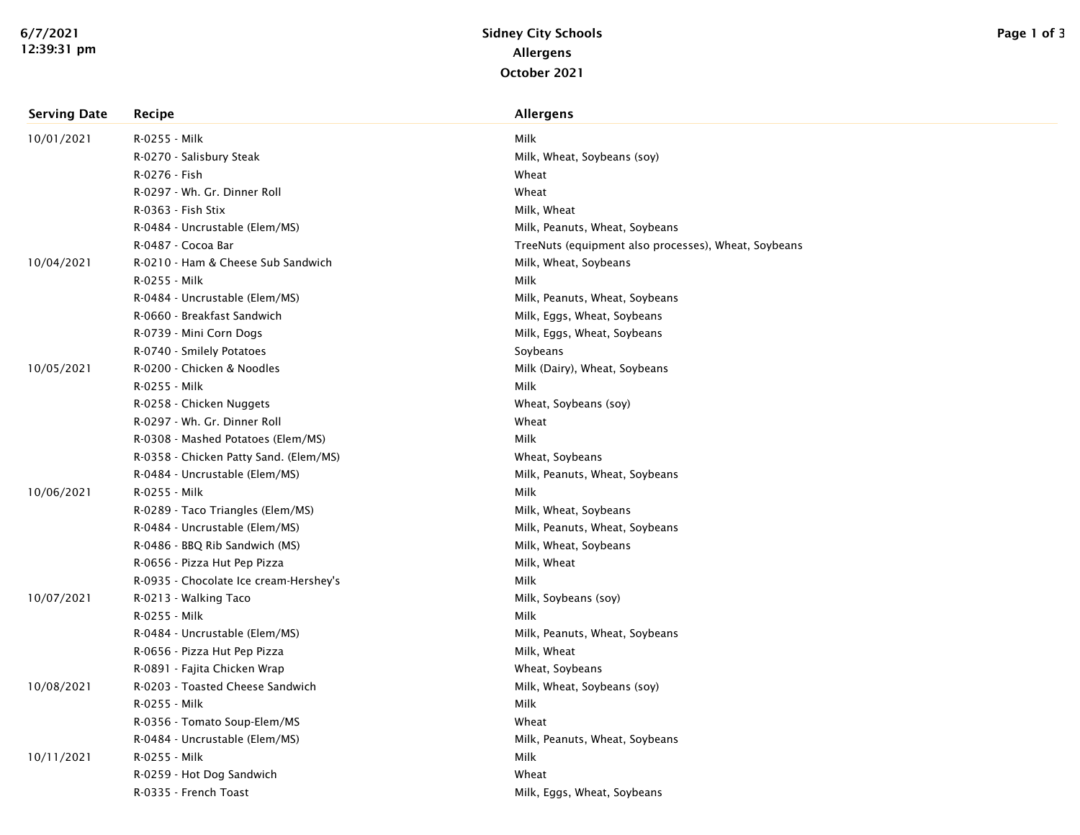| <b>Serving Date</b> | Recipe                                 | <b>Allergens</b>                                     |
|---------------------|----------------------------------------|------------------------------------------------------|
| 10/01/2021          | R-0255 - Milk                          | Milk                                                 |
|                     | R-0270 - Salisbury Steak               | Milk, Wheat, Soybeans (soy)                          |
|                     | R-0276 - Fish                          | Wheat                                                |
|                     | R-0297 - Wh. Gr. Dinner Roll           | Wheat                                                |
|                     | R-0363 - Fish Stix                     | Milk, Wheat                                          |
|                     | R-0484 - Uncrustable (Elem/MS)         | Milk, Peanuts, Wheat, Soybeans                       |
|                     | R-0487 - Cocoa Bar                     | TreeNuts (equipment also processes), Wheat, Soybeans |
| 10/04/2021          | R-0210 - Ham & Cheese Sub Sandwich     | Milk, Wheat, Soybeans                                |
|                     | R-0255 - Milk                          | Milk                                                 |
|                     | R-0484 - Uncrustable (Elem/MS)         | Milk, Peanuts, Wheat, Soybeans                       |
|                     | R-0660 - Breakfast Sandwich            | Milk, Eggs, Wheat, Soybeans                          |
|                     | R-0739 - Mini Corn Dogs                | Milk, Eggs, Wheat, Soybeans                          |
|                     | R-0740 - Smilely Potatoes              | Soybeans                                             |
| 10/05/2021          | R-0200 - Chicken & Noodles             | Milk (Dairy), Wheat, Soybeans                        |
|                     | R-0255 - Milk                          | Milk                                                 |
|                     | R-0258 - Chicken Nuggets               | Wheat, Soybeans (soy)                                |
|                     | R-0297 - Wh. Gr. Dinner Roll           | Wheat                                                |
|                     | R-0308 - Mashed Potatoes (Elem/MS)     | Milk                                                 |
|                     | R-0358 - Chicken Patty Sand. (Elem/MS) | Wheat, Soybeans                                      |
|                     | R-0484 - Uncrustable (Elem/MS)         | Milk, Peanuts, Wheat, Soybeans                       |
| 10/06/2021          | R-0255 - Milk                          | Milk                                                 |
|                     | R-0289 - Taco Triangles (Elem/MS)      | Milk, Wheat, Soybeans                                |
|                     | R-0484 - Uncrustable (Elem/MS)         | Milk, Peanuts, Wheat, Soybeans                       |
|                     | R-0486 - BBQ Rib Sandwich (MS)         | Milk, Wheat, Soybeans                                |
|                     | R-0656 - Pizza Hut Pep Pizza           | Milk, Wheat                                          |
|                     | R-0935 - Chocolate Ice cream-Hershey's | Milk                                                 |
| 10/07/2021          | R-0213 - Walking Taco                  | Milk, Soybeans (soy)                                 |
|                     | R-0255 - Milk                          | Milk                                                 |
|                     | R-0484 - Uncrustable (Elem/MS)         | Milk, Peanuts, Wheat, Soybeans                       |
|                     | R-0656 - Pizza Hut Pep Pizza           | Milk, Wheat                                          |
|                     | R-0891 - Fajita Chicken Wrap           | Wheat, Soybeans                                      |
| 10/08/2021          | R-0203 - Toasted Cheese Sandwich       | Milk, Wheat, Soybeans (soy)                          |
|                     | R-0255 - Milk                          | Milk                                                 |
|                     | R-0356 - Tomato Soup-Elem/MS           | Wheat                                                |
|                     | R-0484 - Uncrustable (Elem/MS)         | Milk, Peanuts, Wheat, Soybeans                       |
| 10/11/2021          | R-0255 - Milk                          | Milk                                                 |
|                     | R-0259 - Hot Dog Sandwich              | Wheat                                                |
|                     | R-0335 - French Toast                  | Milk, Eggs, Wheat, Soybeans                          |
|                     |                                        |                                                      |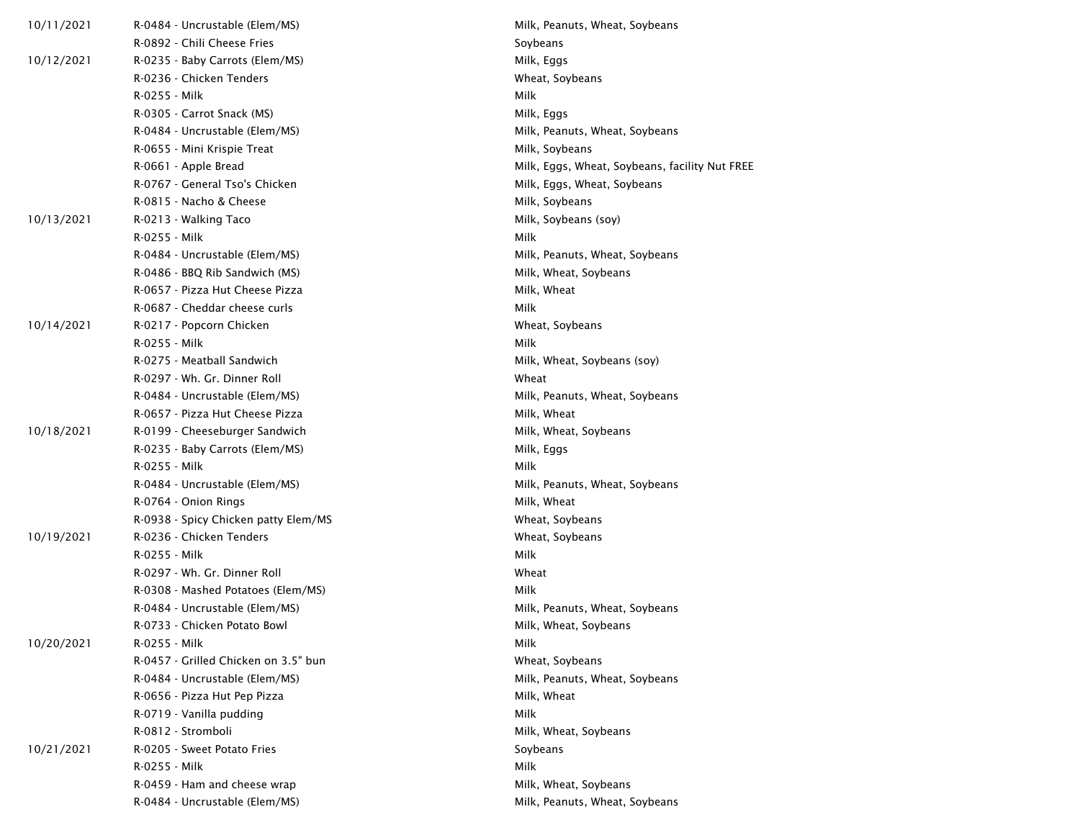| 10/11/2021 | R-0484 - Uncrustable (Elem/MS)       | Milk, Peanuts, Wheat, Soybeans                 |
|------------|--------------------------------------|------------------------------------------------|
|            | R-0892 - Chili Cheese Fries          | Soybeans                                       |
| 10/12/2021 | R-0235 - Baby Carrots (Elem/MS)      | Milk, Eggs                                     |
|            | R-0236 - Chicken Tenders             | Wheat, Soybeans                                |
|            | R-0255 - Milk                        | Milk                                           |
|            | R-0305 - Carrot Snack (MS)           | Milk, Eggs                                     |
|            | R-0484 - Uncrustable (Elem/MS)       | Milk, Peanuts, Wheat, Soybeans                 |
|            | R-0655 - Mini Krispie Treat          | Milk, Soybeans                                 |
|            | R-0661 - Apple Bread                 | Milk, Eggs, Wheat, Soybeans, facility Nut FREE |
|            | R-0767 - General Tso's Chicken       | Milk, Eggs, Wheat, Soybeans                    |
|            | R-0815 - Nacho & Cheese              | Milk, Soybeans                                 |
| 10/13/2021 | R-0213 - Walking Taco                | Milk, Soybeans (soy)                           |
|            | R-0255 - Milk                        | Milk                                           |
|            | R-0484 - Uncrustable (Elem/MS)       | Milk, Peanuts, Wheat, Soybeans                 |
|            | R-0486 - BBQ Rib Sandwich (MS)       | Milk, Wheat, Soybeans                          |
|            | R-0657 - Pizza Hut Cheese Pizza      | Milk, Wheat                                    |
|            | R-0687 - Cheddar cheese curls        | Milk                                           |
| 10/14/2021 | R-0217 - Popcorn Chicken             | Wheat, Soybeans                                |
|            | R-0255 - Milk                        | Milk                                           |
|            | R-0275 - Meatball Sandwich           | Milk, Wheat, Soybeans (soy)                    |
|            | R-0297 - Wh. Gr. Dinner Roll         | Wheat                                          |
|            | R-0484 - Uncrustable (Elem/MS)       | Milk, Peanuts, Wheat, Soybeans                 |
|            | R-0657 - Pizza Hut Cheese Pizza      | Milk, Wheat                                    |
| 10/18/2021 | R-0199 - Cheeseburger Sandwich       | Milk, Wheat, Soybeans                          |
|            | R-0235 - Baby Carrots (Elem/MS)      | Milk, Eggs                                     |
|            | R-0255 - Milk                        | Milk                                           |
|            | R-0484 - Uncrustable (Elem/MS)       | Milk, Peanuts, Wheat, Soybeans                 |
|            | R-0764 - Onion Rings                 | Milk, Wheat                                    |
|            | R-0938 - Spicy Chicken patty Elem/MS | Wheat, Soybeans                                |
| 10/19/2021 | R-0236 - Chicken Tenders             | Wheat, Soybeans                                |
|            | R-0255 - Milk                        | Milk                                           |
|            | R-0297 - Wh. Gr. Dinner Roll         | Wheat                                          |
|            | R-0308 - Mashed Potatoes (Elem/MS)   | Milk                                           |
|            | R-0484 - Uncrustable (Elem/MS)       | Milk, Peanuts, Wheat, Soybeans                 |
|            | R-0733 - Chicken Potato Bowl         | Milk, Wheat, Soybeans                          |
| 10/20/2021 | R-0255 - Milk                        | Milk                                           |
|            | R-0457 - Grilled Chicken on 3.5" bun | Wheat, Soybeans                                |
|            | R-0484 - Uncrustable (Elem/MS)       | Milk, Peanuts, Wheat, Soybeans                 |
|            | R-0656 - Pizza Hut Pep Pizza         | Milk, Wheat                                    |
|            | R-0719 - Vanilla pudding             | Milk                                           |
|            | R-0812 - Stromboli                   | Milk, Wheat, Soybeans                          |
| 10/21/2021 | R-0205 - Sweet Potato Fries          | Soybeans                                       |
|            | R-0255 - Milk                        | Milk                                           |
|            | R-0459 - Ham and cheese wrap         | Milk, Wheat, Soybeans                          |
|            | R-0484 - Uncrustable (Elem/MS)       | Milk, Peanuts, Wheat, Soybeans                 |